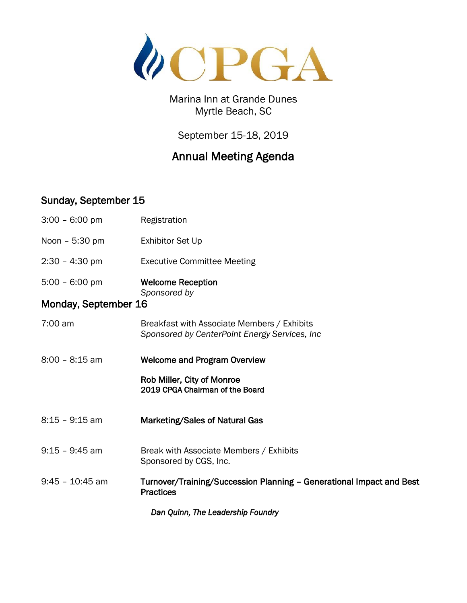

Marina Inn at Grande Dunes Myrtle Beach, SC

September 15-18, 2019

## Annual Meeting Agenda

## Sunday, September 15

| $3:00 - 6:00$ pm                  | Registration                                                                                 |  |
|-----------------------------------|----------------------------------------------------------------------------------------------|--|
| Noon - 5:30 pm                    | <b>Exhibitor Set Up</b>                                                                      |  |
| $2:30 - 4:30$ pm                  | <b>Executive Committee Meeting</b>                                                           |  |
| $5:00 - 6:00 \text{ pm}$          | <b>Welcome Reception</b>                                                                     |  |
| Monday, September 16              | Sponsored by                                                                                 |  |
| 7:00 am                           | Breakfast with Associate Members / Exhibits<br>Sponsored by CenterPoint Energy Services, Inc |  |
| $8:00 - 8:15$ am                  | <b>Welcome and Program Overview</b>                                                          |  |
|                                   | Rob Miller, City of Monroe<br>2019 CPGA Chairman of the Board                                |  |
| 8:15 - 9:15 am                    | Marketing/Sales of Natural Gas                                                               |  |
| $9:15 - 9:45$ am                  | Break with Associate Members / Exhibits<br>Sponsored by CGS, Inc.                            |  |
| $9:45 - 10:45$ am                 | Turnover/Training/Succession Planning - Generational Impact and Best<br><b>Practices</b>     |  |
| Dan Quinn, The Leadership Foundry |                                                                                              |  |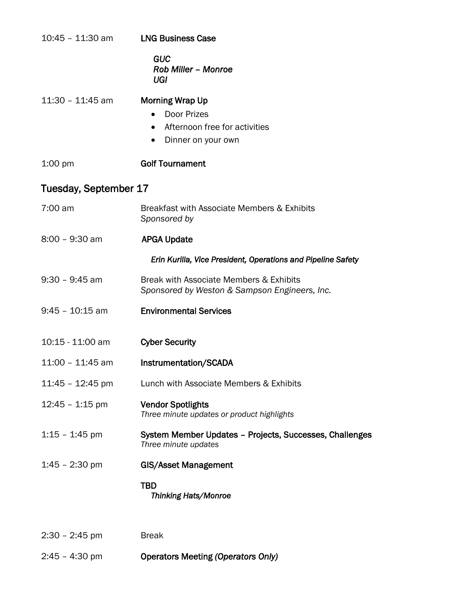| $10:45 - 11:30$ am    | <b>LNG Business Case</b>                                                                                                 |
|-----------------------|--------------------------------------------------------------------------------------------------------------------------|
|                       | <b>GUC</b><br><b>Rob Miller - Monroe</b><br>UGI                                                                          |
| $11:30 - 11:45$ am    | <b>Morning Wrap Up</b><br>• Door Prizes<br>Afternoon free for activities<br>$\bullet$<br>Dinner on your own<br>$\bullet$ |
| $1:00$ pm             | <b>Golf Tournament</b>                                                                                                   |
| Tuesday, September 17 |                                                                                                                          |
| 7:00 am               | Breakfast with Associate Members & Exhibits<br>Sponsored by                                                              |
| $8:00 - 9:30$ am      | <b>APGA Update</b>                                                                                                       |
|                       | Erin Kurilla, Vice President, Operations and Pipeline Safety                                                             |
| $9:30 - 9:45$ am      | Break with Associate Members & Exhibits<br>Sponsored by Weston & Sampson Engineers, Inc.                                 |
| $9:45 - 10:15$ am     | <b>Environmental Services</b>                                                                                            |
| 10:15 - 11:00 am      | <b>Cyber Security</b>                                                                                                    |
| 11:00 - 11:45 am      | Instrumentation/SCADA                                                                                                    |
| $11:45 - 12:45$ pm    | Lunch with Associate Members & Exhibits                                                                                  |
| $12:45 - 1:15$ pm     | <b>Vendor Spotlights</b><br>Three minute updates or product highlights                                                   |
| $1:15 - 1:45$ pm      | System Member Updates - Projects, Successes, Challenges<br>Three minute updates                                          |
| $1:45 - 2:30$ pm      | <b>GIS/Asset Management</b>                                                                                              |
|                       | <b>TBD</b><br>Thinking Hats/Monroe                                                                                       |
| $2:30 - 2:45$ pm      | <b>Break</b>                                                                                                             |
| $2:45 - 4:30$ pm      | <b>Operators Meeting (Operators Only)</b>                                                                                |